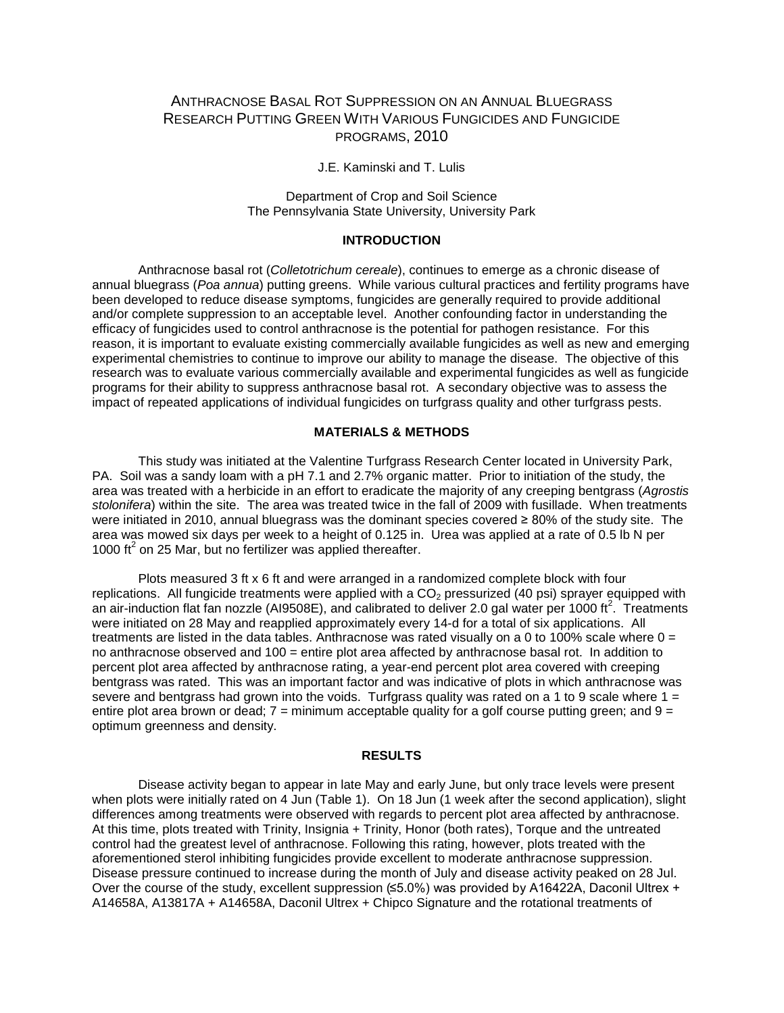# ANTHRACNOSE BASAL ROT SUPPRESSION ON AN ANNUAL BLUEGRASS RESEARCH PUTTING GREEN WITH VARIOUS FUNGICIDES AND FUNGICIDE PROGRAMS, 2010

J.E. Kaminski and T. Lulis

Department of Crop and Soil Science The Pennsylvania State University, University Park

## **INTRODUCTION**

Anthracnose basal rot (*Colletotrichum cereale*), continues to emerge as a chronic disease of annual bluegrass (*Poa annua*) putting greens. While various cultural practices and fertility programs have been developed to reduce disease symptoms, fungicides are generally required to provide additional and/or complete suppression to an acceptable level. Another confounding factor in understanding the efficacy of fungicides used to control anthracnose is the potential for pathogen resistance. For this reason, it is important to evaluate existing commercially available fungicides as well as new and emerging experimental chemistries to continue to improve our ability to manage the disease. The objective of this research was to evaluate various commercially available and experimental fungicides as well as fungicide programs for their ability to suppress anthracnose basal rot. A secondary objective was to assess the impact of repeated applications of individual fungicides on turfgrass quality and other turfgrass pests.

## **MATERIALS & METHODS**

This study was initiated at the Valentine Turfgrass Research Center located in University Park, PA. Soil was a sandy loam with a pH 7.1 and 2.7% organic matter. Prior to initiation of the study, the area was treated with a herbicide in an effort to eradicate the majority of any creeping bentgrass (*Agrostis stolonifera*) within the site. The area was treated twice in the fall of 2009 with fusillade. When treatments were initiated in 2010, annual bluegrass was the dominant species covered ≥ 80% of the study site. The area was mowed six days per week to a height of 0.125 in. Urea was applied at a rate of 0.5 lb N per 1000  $\text{ft}^2$  on 25 Mar, but no fertilizer was applied thereafter.

Plots measured 3 ft x 6 ft and were arranged in a randomized complete block with four replications. All fungicide treatments were applied with a  $CO<sub>2</sub>$  pressurized (40 psi) sprayer equipped with an air-induction flat fan nozzle (AI9508E), and calibrated to deliver 2.0 gal water per 1000 ft<sup>2</sup>. Treatments were initiated on 28 May and reapplied approximately every 14-d for a total of six applications. All treatments are listed in the data tables. Anthracnose was rated visually on a 0 to 100% scale where  $0 =$ no anthracnose observed and 100 = entire plot area affected by anthracnose basal rot. In addition to percent plot area affected by anthracnose rating, a year-end percent plot area covered with creeping bentgrass was rated. This was an important factor and was indicative of plots in which anthracnose was severe and bentgrass had grown into the voids. Turfgrass quality was rated on a 1 to 9 scale where 1 = entire plot area brown or dead;  $7 =$  minimum acceptable quality for a golf course putting green; and  $9 =$ optimum greenness and density.

#### **RESULTS**

Disease activity began to appear in late May and early June, but only trace levels were present when plots were initially rated on 4 Jun (Table 1). On 18 Jun (1 week after the second application), slight differences among treatments were observed with regards to percent plot area affected by anthracnose. At this time, plots treated with Trinity, Insignia + Trinity, Honor (both rates), Torque and the untreated control had the greatest level of anthracnose. Following this rating, however, plots treated with the aforementioned sterol inhibiting fungicides provide excellent to moderate anthracnose suppression. Disease pressure continued to increase during the month of July and disease activity peaked on 28 Jul. Over the course of the study, excellent suppression (≤5.0%) was provided by A16422A, Daconil Ultrex + A14658A, A13817A + A14658A, Daconil Ultrex + Chipco Signature and the rotational treatments of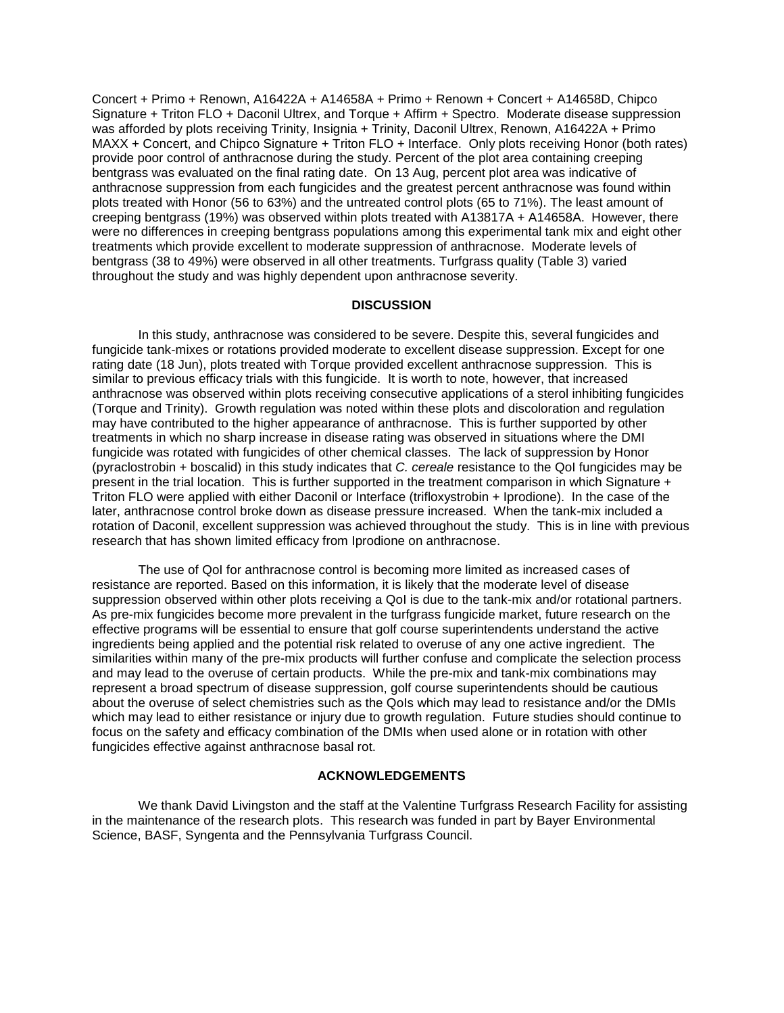Concert + Primo + Renown, A16422A + A14658A + Primo + Renown + Concert + A14658D, Chipco Signature + Triton FLO + Daconil Ultrex, and Torque + Affirm + Spectro. Moderate disease suppression was afforded by plots receiving Trinity, Insignia + Trinity, Daconil Ultrex, Renown, A16422A + Primo MAXX + Concert, and Chipco Signature + Triton FLO + Interface. Only plots receiving Honor (both rates) provide poor control of anthracnose during the study. Percent of the plot area containing creeping bentgrass was evaluated on the final rating date. On 13 Aug, percent plot area was indicative of anthracnose suppression from each fungicides and the greatest percent anthracnose was found within plots treated with Honor (56 to 63%) and the untreated control plots (65 to 71%). The least amount of creeping bentgrass (19%) was observed within plots treated with A13817A + A14658A. However, there were no differences in creeping bentgrass populations among this experimental tank mix and eight other treatments which provide excellent to moderate suppression of anthracnose. Moderate levels of bentgrass (38 to 49%) were observed in all other treatments. Turfgrass quality (Table 3) varied throughout the study and was highly dependent upon anthracnose severity.

#### **DISCUSSION**

In this study, anthracnose was considered to be severe. Despite this, several fungicides and fungicide tank-mixes or rotations provided moderate to excellent disease suppression. Except for one rating date (18 Jun), plots treated with Torque provided excellent anthracnose suppression. This is similar to previous efficacy trials with this fungicide. It is worth to note, however, that increased anthracnose was observed within plots receiving consecutive applications of a sterol inhibiting fungicides (Torque and Trinity). Growth regulation was noted within these plots and discoloration and regulation may have contributed to the higher appearance of anthracnose. This is further supported by other treatments in which no sharp increase in disease rating was observed in situations where the DMI fungicide was rotated with fungicides of other chemical classes. The lack of suppression by Honor (pyraclostrobin + boscalid) in this study indicates that *C. cereale* resistance to the QoI fungicides may be present in the trial location. This is further supported in the treatment comparison in which Signature + Triton FLO were applied with either Daconil or Interface (trifloxystrobin + Iprodione). In the case of the later, anthracnose control broke down as disease pressure increased. When the tank-mix included a rotation of Daconil, excellent suppression was achieved throughout the study. This is in line with previous research that has shown limited efficacy from Iprodione on anthracnose.

The use of QoI for anthracnose control is becoming more limited as increased cases of resistance are reported. Based on this information, it is likely that the moderate level of disease suppression observed within other plots receiving a QoI is due to the tank-mix and/or rotational partners. As pre-mix fungicides become more prevalent in the turfgrass fungicide market, future research on the effective programs will be essential to ensure that golf course superintendents understand the active ingredients being applied and the potential risk related to overuse of any one active ingredient. The similarities within many of the pre-mix products will further confuse and complicate the selection process and may lead to the overuse of certain products. While the pre-mix and tank-mix combinations may represent a broad spectrum of disease suppression, golf course superintendents should be cautious about the overuse of select chemistries such as the QoIs which may lead to resistance and/or the DMIs which may lead to either resistance or injury due to growth regulation. Future studies should continue to focus on the safety and efficacy combination of the DMIs when used alone or in rotation with other fungicides effective against anthracnose basal rot.

### **ACKNOWLEDGEMENTS**

We thank David Livingston and the staff at the Valentine Turfgrass Research Facility for assisting in the maintenance of the research plots. This research was funded in part by Bayer Environmental Science, BASF, Syngenta and the Pennsylvania Turfgrass Council.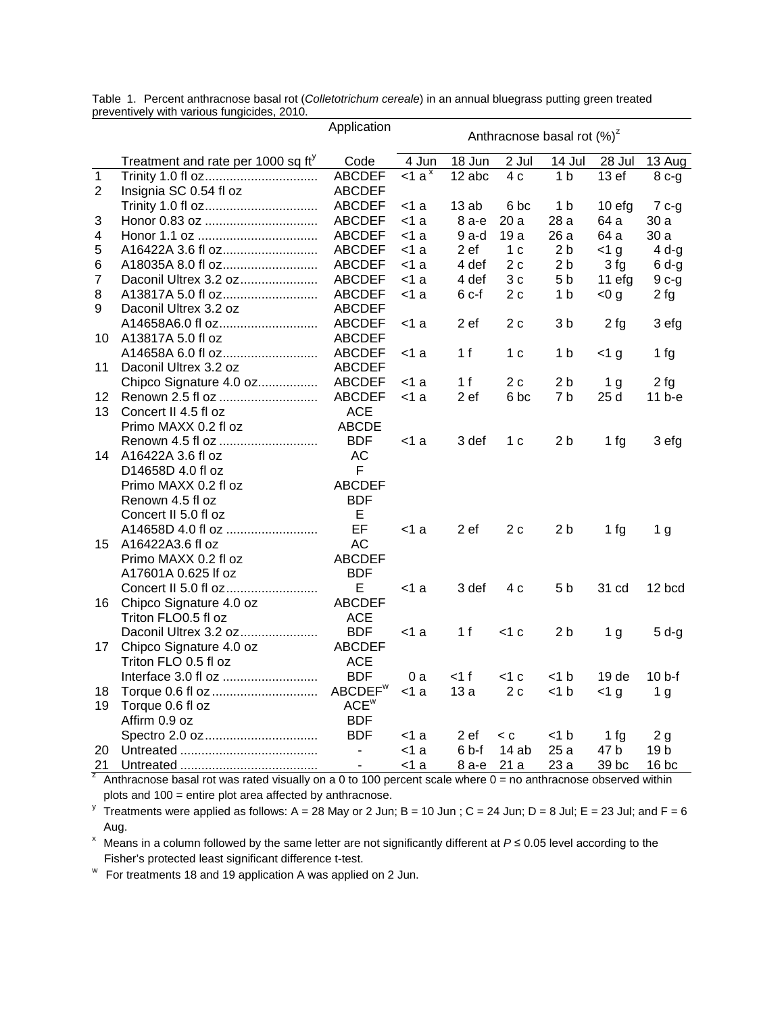|                |                                                | Application         | Anthracnose basal rot $(\%)^z$ |        |                 |                |                    |                 |
|----------------|------------------------------------------------|---------------------|--------------------------------|--------|-----------------|----------------|--------------------|-----------------|
|                |                                                |                     |                                |        |                 |                |                    |                 |
|                | Treatment and rate per 1000 sq ft <sup>y</sup> | Code                | 4 Jun                          | 18 Jun | $2$ Jul         | 14 Jul         | 28 Jul             | 13 Aug          |
| $\overline{1}$ | Trinity 1.0 fl oz                              | <b>ABCDEF</b>       | $\leq 1$ a <sup>x</sup>        | 12 abc | 4c              | 1 <sub>b</sub> | $\overline{13}$ ef | $8c-g$          |
| 2              | Insignia SC 0.54 fl oz                         | <b>ABCDEF</b>       |                                |        |                 |                |                    |                 |
|                |                                                | <b>ABCDEF</b>       | <1 a                           | 13ab   | 6 bc            | 1 <sub>b</sub> | 10 efg             | $7c-g$          |
| 3              |                                                | <b>ABCDEF</b>       | <1 a                           | 8 а-е  | 20 a            | 28 a           | 64 a               | 30 a            |
| 4              |                                                | <b>ABCDEF</b>       | $<$ 1 a                        | 9 a-d  | 19a             | 26 a           | 64 a               | 30a             |
| 5              | A16422A 3.6 fl oz                              | <b>ABCDEF</b>       | $<$ 1 a                        | 2 ef   | 1 <sub>c</sub>  | 2 b            | $<$ 1 g            | 4 <sub>q</sub>  |
| 6              | A18035A 8.0 fl oz                              | <b>ABCDEF</b>       | $<$ 1 a                        | 4 def  | 2c              | 2 <sub>b</sub> | 3 fg               | $6d-g$          |
| 7              | Daconil Ultrex 3.2 oz                          | <b>ABCDEF</b>       | $<$ 1 a                        | 4 def  | 3c              | 5 b            | $11$ efg           | $9c-g$          |
| 8              | A13817A 5.0 fl oz                              | <b>ABCDEF</b>       | $<$ 1 a                        | $6c-f$ | 2c              | 1 <sub>b</sub> | < 0 g              | 2fg             |
| 9              | Daconil Ultrex 3.2 oz                          | <b>ABCDEF</b>       |                                |        |                 |                |                    |                 |
|                | A14658A6.0 fl oz                               | <b>ABCDEF</b>       | <1 a                           | 2 ef   | 2c              | 3 <sub>b</sub> | 2fg                | 3 efg           |
| 10             | A13817A 5.0 fl oz                              | <b>ABCDEF</b>       |                                |        |                 |                |                    |                 |
|                | A14658A 6.0 fl oz                              | <b>ABCDEF</b>       | $<$ 1 a                        | 1 f    | 1 <sub>c</sub>  | 1 b            | $<$ 1 g            | 1 fg            |
| 11             | Daconil Ultrex 3.2 oz                          | <b>ABCDEF</b>       |                                |        |                 |                |                    |                 |
|                | Chipco Signature 4.0 oz                        | <b>ABCDEF</b>       | <1 a                           | 1 f    | 2 c             | 2 <sub>b</sub> | 1 <sub>g</sub>     | 2fg             |
| 12             |                                                | <b>ABCDEF</b>       | $<$ 1 a                        | 2 ef   | 6 <sub>bc</sub> | 7 <sub>b</sub> | 25 d               | $11b-e$         |
| 13             | Concert II 4.5 fl oz                           | <b>ACE</b>          |                                |        |                 |                |                    |                 |
|                | Primo MAXX 0.2 fl oz                           | <b>ABCDE</b>        |                                |        |                 |                |                    |                 |
|                | Renown 4.5 fl oz                               | <b>BDF</b>          | <1 a                           | 3 def  | 1 c             | 2 <sub>b</sub> | 1fg                | 3 efg           |
| 14             | A16422A 3.6 fl oz                              | AC                  |                                |        |                 |                |                    |                 |
|                | D14658D 4.0 fl oz                              | F                   |                                |        |                 |                |                    |                 |
|                | Primo MAXX 0.2 fl oz                           | <b>ABCDEF</b>       |                                |        |                 |                |                    |                 |
|                | Renown 4.5 fl oz                               | <b>BDF</b>          |                                |        |                 |                |                    |                 |
|                | Concert II 5.0 fl oz                           | E                   |                                |        |                 |                |                    |                 |
|                | A14658D 4.0 fl oz                              | EF                  | $<$ 1 a                        | 2 ef   | 2c              | 2 <sub>b</sub> | 1fg                | 1 <sub>g</sub>  |
| 15             | A16422A3.6 fl oz                               | <b>AC</b>           |                                |        |                 |                |                    |                 |
|                | Primo MAXX 0.2 fl oz                           | <b>ABCDEF</b>       |                                |        |                 |                |                    |                 |
|                | A17601A 0.625 If oz                            | <b>BDF</b>          |                                |        |                 |                |                    |                 |
|                |                                                | E                   | $<$ 1 a                        | 3 def  | 4 c             | 5 b            | 31 cd              | 12 bcd          |
| 16             | Chipco Signature 4.0 oz                        | <b>ABCDEF</b>       |                                |        |                 |                |                    |                 |
|                | Triton FLO0.5 fl oz                            | <b>ACE</b>          |                                |        |                 |                |                    |                 |
|                | Daconil Ultrex 3.2 oz                          | <b>BDF</b>          | <1 a                           | 1 f    | $<$ 1 c         | 2 <sub>b</sub> | 1 <sub>g</sub>     | $5d-g$          |
| 17             | Chipco Signature 4.0 oz                        | <b>ABCDEF</b>       |                                |        |                 |                |                    |                 |
|                | Triton FLO 0.5 fl oz                           | <b>ACE</b>          |                                |        |                 |                |                    |                 |
|                | Interface 3.0 fl oz                            | <b>BDF</b>          | 0a                             | <1 f   | $<$ 1 c         | $<$ 1 b        | 19 <sub>de</sub>   | 10 b-f          |
| 18             |                                                | ABCDEF <sup>w</sup> | $<$ 1 a                        | 13a    | 2c              | $<$ 1 $b$      | $<$ 1 g            | 1 <sub>g</sub>  |
| 19             | Torque 0.6 fl oz                               | ACE <sup>w</sup>    |                                |        |                 |                |                    |                 |
|                | Affirm 0.9 oz                                  | <b>BDF</b>          |                                |        |                 |                |                    |                 |
|                |                                                | <b>BDF</b>          | $<$ 1 a                        | 2 ef   | < c             | $<$ 1 $b$      | 1fg                | 2g              |
| 20             |                                                |                     | $<$ 1 a                        | $6b-f$ | 14ab            | 25 a           | 47 b               | 19 <sub>b</sub> |
| 21             |                                                | $\blacksquare$      | $<$ 1 a                        | 8 а-е  | 21a             | 23a            | 39 bc              | $16$ bc         |

Table 1. Percent anthracnose basal rot (*Colletotrichum cereale*) in an annual bluegrass putting green treated preventively with various fungicides, 2010.

<sup>2</sup> Anthracnose basal rot was rated visually on a 0 to 100 percent scale where  $0 =$  no anthracnose observed within plots and 100 = entire plot area affected by anthracnose.

<sup>y</sup> Treatments were applied as follows: A = 28 May or 2 Jun; B = 10 Jun; C = 24 Jun; D = 8 Jul; E = 23 Jul; and F = 6 Aug.

<sup>x</sup> Means in a column followed by the same letter are not significantly different at  $P \le 0.05$  level according to the Fisher's protected least significant difference t-test.

<sup>w</sup> For treatments 18 and 19 application A was applied on 2 Jun.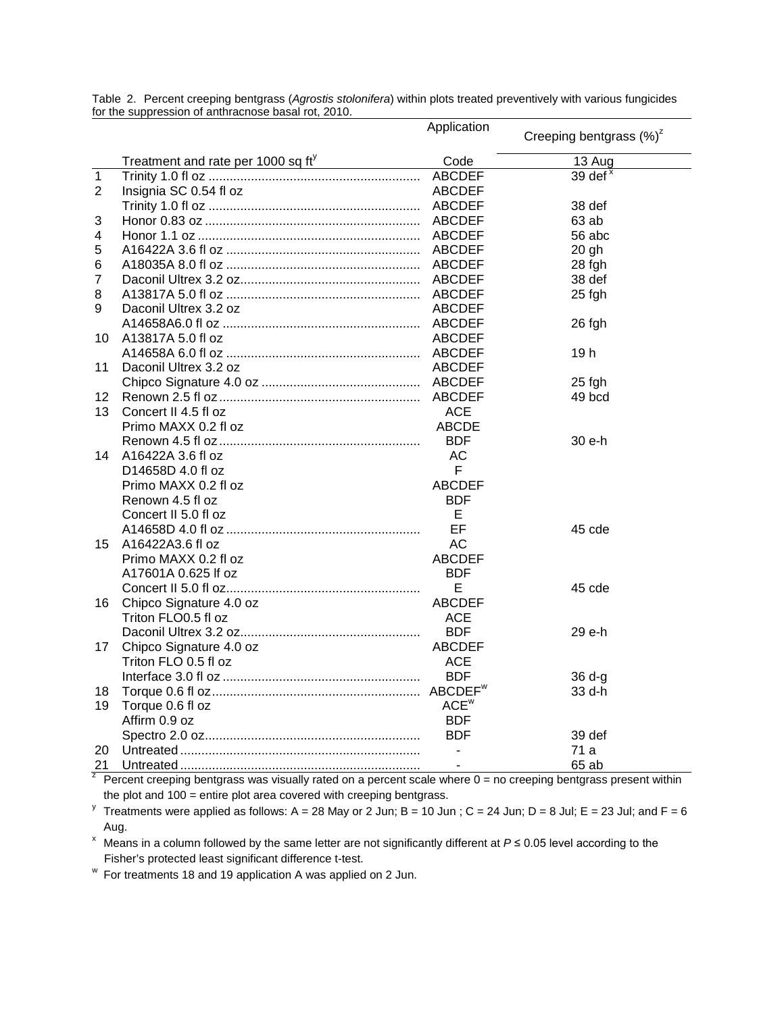|                |                                                | Application      | Creeping bentgrass $(\%)^z$ |  |  |
|----------------|------------------------------------------------|------------------|-----------------------------|--|--|
|                |                                                |                  |                             |  |  |
|                | Treatment and rate per $1000$ sq $ft^{\gamma}$ | Code             | 13 Aug                      |  |  |
| $\mathbf{1}$   |                                                |                  | 39 def $x$                  |  |  |
| $\overline{2}$ | Insignia SC 0.54 fl oz                         | <b>ABCDEF</b>    |                             |  |  |
|                |                                                |                  | 38 def                      |  |  |
| 3              |                                                |                  | 63 ab                       |  |  |
| 4              |                                                |                  | 56 abc                      |  |  |
| 5              |                                                |                  | $20$ gh                     |  |  |
| 6              |                                                |                  | 28 fgh                      |  |  |
| $\overline{7}$ |                                                |                  | 38 def                      |  |  |
| 8              |                                                |                  | 25 fgh                      |  |  |
| 9              | Daconil Ultrex 3.2 oz                          | ABCDEF           |                             |  |  |
|                |                                                |                  | 26 fgh                      |  |  |
| 10             | A13817A 5.0 fl oz                              | <b>ABCDEF</b>    |                             |  |  |
|                |                                                |                  | 19 <sub>h</sub>             |  |  |
| 11             | Daconil Ultrex 3.2 oz                          | <b>ABCDEF</b>    |                             |  |  |
|                |                                                |                  | 25 fgh                      |  |  |
| 12             |                                                |                  | 49 bcd                      |  |  |
| 13             | Concert II 4.5 fl oz                           | <b>ACE</b>       |                             |  |  |
|                | Primo MAXX 0.2 fl oz                           | <b>ABCDE</b>     |                             |  |  |
|                |                                                | <b>BDF</b>       | 30 e-h                      |  |  |
| 14             | A16422A 3.6 fl oz                              | <b>AC</b>        |                             |  |  |
|                | D14658D 4.0 fl oz                              | F                |                             |  |  |
|                | Primo MAXX 0.2 fl oz                           | <b>ABCDEF</b>    |                             |  |  |
|                | Renown 4.5 fl oz                               | <b>BDF</b>       |                             |  |  |
|                | Concert II 5.0 fl oz                           | E                |                             |  |  |
|                |                                                | EF               | 45 cde                      |  |  |
| 15             | A16422A3.6 fl oz                               | <b>AC</b>        |                             |  |  |
|                | Primo MAXX 0.2 fl oz                           | <b>ABCDEF</b>    |                             |  |  |
|                | A17601A 0.625 If oz                            | <b>BDF</b>       |                             |  |  |
|                |                                                | E                | 45 cde                      |  |  |
| 16             | Chipco Signature 4.0 oz                        | <b>ABCDEF</b>    |                             |  |  |
|                | Triton FLO0.5 fl oz                            | ACE              |                             |  |  |
|                |                                                | <b>BDF</b>       | 29 e-h                      |  |  |
| 17             | Chipco Signature 4.0 oz                        | <b>ABCDEF</b>    |                             |  |  |
|                | Triton FLO 0.5 fl oz                           | ACE              |                             |  |  |
|                |                                                | <b>BDF</b>       | $36 d-g$                    |  |  |
| 18             |                                                |                  | $33 d-h$                    |  |  |
| 19             | Torque 0.6 fl oz                               | ACE <sup>w</sup> |                             |  |  |
|                | Affirm 0.9 oz                                  | <b>BDF</b>       |                             |  |  |
|                |                                                | <b>BDF</b>       | 39 def                      |  |  |
| 20             |                                                | $\blacksquare$   | 71 a                        |  |  |
| 21             |                                                |                  | 65 ab                       |  |  |

Table 2. Percent creeping bentgrass (*Agrostis stolonifera*) within plots treated preventively with various fungicides for the suppression of anthracnose basal rot, 2010.

<sup>2</sup> Percent creeping bentgrass was visually rated on a percent scale where  $0 =$  no creeping bentgrass present within the plot and 100 = entire plot area covered with creeping bentgrass.

<sup>y</sup> Treatments were applied as follows: A = 28 May or 2 Jun; B = 10 Jun; C = 24 Jun; D = 8 Jul; E = 23 Jul; and F = 6 Aug.

<sup>x</sup> Means in a column followed by the same letter are not significantly different at  $P \le 0.05$  level according to the Fisher's protected least significant difference t-test.

<sup>w</sup> For treatments 18 and 19 application A was applied on 2 Jun.